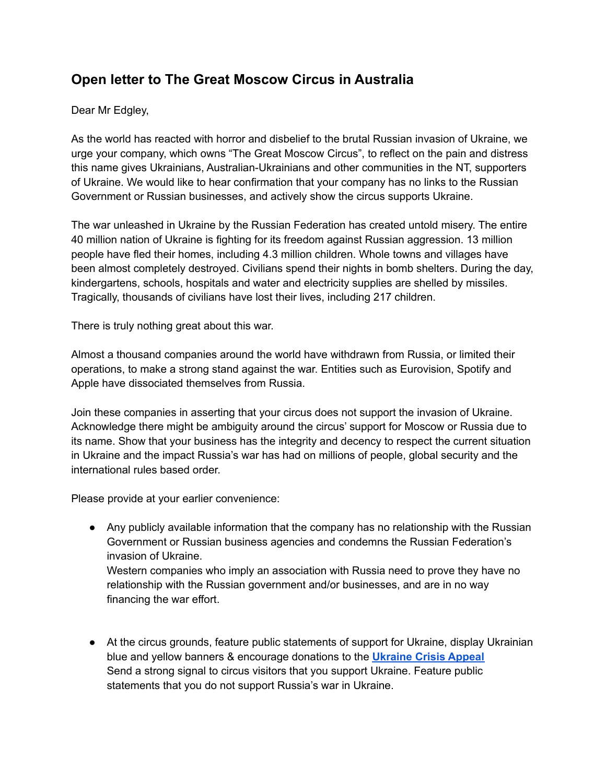## **Open letter to The Great Moscow Circus in Australia**

## Dear Mr Edgley,

As the world has reacted with horror and disbelief to the brutal Russian invasion of Ukraine, we urge your company, which owns "The Great Moscow Circus", to reflect on the pain and distress this name gives Ukrainians, Australian-Ukrainians and other communities in the NT, supporters of Ukraine. We would like to hear confirmation that your company has no links to the Russian Government or Russian businesses, and actively show the circus supports Ukraine.

The war unleashed in Ukraine by the Russian Federation has created untold misery. The entire 40 million nation of Ukraine is fighting for its freedom against Russian aggression. 13 million people have fled their homes, including 4.3 million children. Whole towns and villages have been almost completely destroyed. Civilians spend their nights in bomb shelters. During the day, kindergartens, schools, hospitals and water and electricity supplies are shelled by missiles. Tragically, thousands of civilians have lost their lives, including 217 children.

There is truly nothing great about this war.

Almost a thousand companies around the world have withdrawn from Russia, or limited their operations, to make a strong stand against the war. Entities such as Eurovision, Spotify and Apple have dissociated themselves from Russia.

Join these companies in asserting that your circus does not support the invasion of Ukraine. Acknowledge there might be ambiguity around the circus' support for Moscow or Russia due to its name. Show that your business has the integrity and decency to respect the current situation in Ukraine and the impact Russia's war has had on millions of people, global security and the international rules based order.

Please provide at your earlier convenience:

- Any publicly available information that the company has no relationship with the Russian Government or Russian business agencies and condemns the Russian Federation's invasion of Ukraine. Western companies who imply an association with Russia need to prove they have no relationship with the Russian government and/or businesses, and are in no way financing the war effort.
- At the circus grounds, feature public statements of support for Ukraine, display Ukrainian blue and yellow banners & encourage donations to the **[Ukraine](https://www.ukrainecrisisappeal.org/) Crisis Appeal** Send a strong signal to circus visitors that you support Ukraine. Feature public statements that you do not support Russia's war in Ukraine.